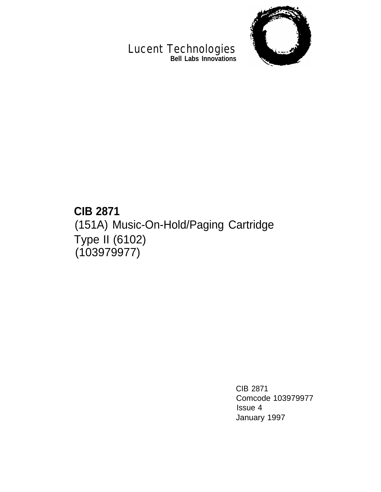

#### Lucent Technologies **Bell Labs Innovations**

# **CIB 2871** (151A) Music-On-Hold/Paging Cartridge Type II (6102) (103979977)

CIB 2871 Comcode 103979977 Issue 4 January 1997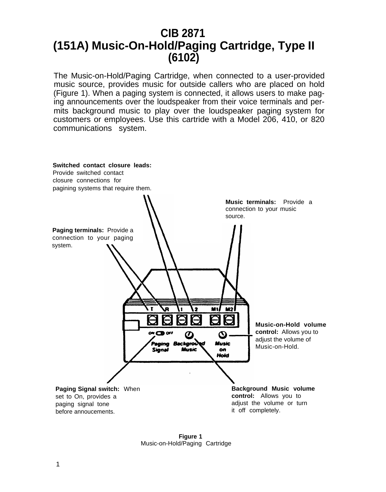## **CIB 2871 (151A) Music-On-Hold/Paging Cartridge, Type II (6102)**

The Music-on-Hold/Paging Cartridge, when connected to a user-provided music source, provides music for outside callers who are placed on hold (Figure 1). When a paging system is connected, it allows users to make paging announcements over the loudspeaker from their voice terminals and permits background music to play over the loudspeaker paging system for customers or employees. Use this cartride with a Model 206, 410, or 820 communications system.



**Figure 1** Music-on-Hold/Paging Cartridge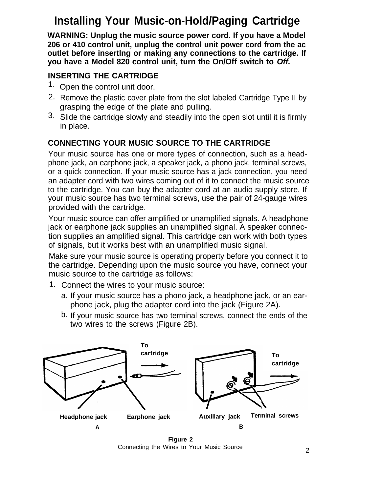# **Installing Your Music-on-Hold/Paging Cartridge**

**WARNING: Unplug the music source power cord. If you have a Model 206 or 410 control unit, unplug the control unit power cord from the ac outlet before insertlng or making any connections to the cartridge. If you have a Model 820 control unit, turn the On/Off switch to Off.**

#### **INSERTING THE CARTRIDGE**

- 1. Open the control unit door.
- 2. Remove the plastic cover plate from the slot labeled Cartridge Type II by grasping the edge of the plate and pulling.
- 3. Slide the cartridge slowly and steadily into the open slot until it is firmly in place.

## **CONNECTING YOUR MUSIC SOURCE TO THE CARTRIDGE**

Your music source has one or more types of connection, such as a headphone jack, an earphone jack, a speaker jack, a phono jack, terminal screws, or a quick connection. If your music source has a jack connection, you need an adapter cord with two wires coming out of it to connect the music source to the cartridge. You can buy the adapter cord at an audio supply store. If your music source has two terminal screws, use the pair of 24-gauge wires provided with the cartridge.

Your music source can offer amplified or unamplified signals. A headphone jack or earphone jack supplies an unamplified signal. A speaker connection supplies an amplified signal. This cartridge can work with both types of signals, but it works best with an unamplified music signal.

Make sure your music source is operating property before you connect it to the cartridge. Depending upon the music source you have, connect your music source to the cartridge as follows:

- 1. Connect the wires to your music source:
	- a. If your music source has a phono jack, a headphone jack, or an earphone jack, plug the adapter cord into the jack (Figure 2A).
	- b. If your music source has two terminal screws, connect the ends of the two wires to the screws (Figure 2B).



**Figure 2** Connecting the Wires to Your Music Source <sup>2</sup>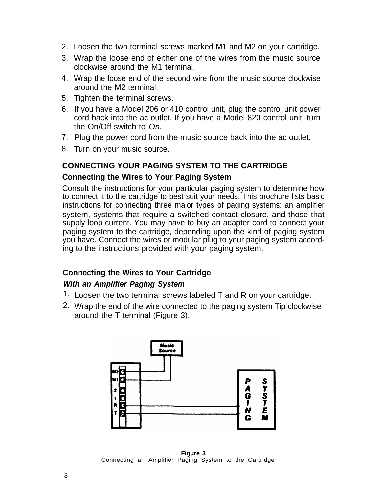- 2. Loosen the two terminal screws marked M1 and M2 on your cartridge.
- 3. Wrap the loose end of either one of the wires from the music source clockwise around the M1 terminal.
- 4. Wrap the loose end of the second wire from the music source clockwise around the M2 terminal.
- 5. Tighten the terminal screws.
- 6. If you have a Model 206 or 410 control unit, plug the control unit power cord back into the ac outlet. If you have a Model 820 control unit, turn the On/Off switch to On.
- 7. Plug the power cord from the music source back into the ac outlet.
- 8. Turn on your music source.

#### **CONNECTING YOUR PAGING SYSTEM TO THE CARTRIDGE**

#### **Connecting the Wires to Your Paging System**

<span id="page-3-0"></span>Consult the instructions for your particular paging system to determine how to connect it to the cartridge to best suit your needs. This brochure lists basic instructions for connecting three major types of paging systems: an amplifier system, systems that require a switched contact closure, and those that supply loop current. You may have to buy an adapter cord to connect your paging system to the cartridge, depending upon the kind of paging system you have. Connect the wires or modular plug to your paging system according to the instructions provided with your paging system.

#### **Connecting the Wires to Your Cartridge**

#### **With an Amplifier Paging System**

- 1. Loosen the two terminal screws labeled T and R on your cartridge.
- 2. Wrap the end of the wire connected to the paging system Tip clockwise around the T terminal (Figure 3).



**Figure 3** Connecting an Amplifier Paging System to the Cartridge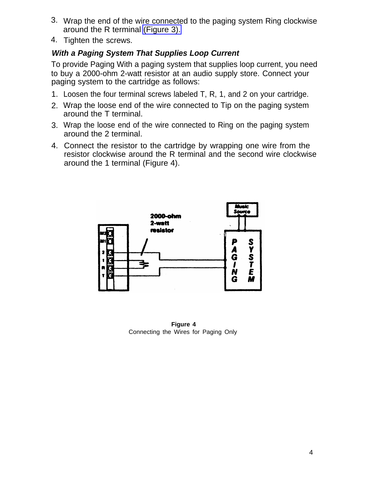- 3. Wrap the end of the wire connected to the paging system Ring clockwise around the R terminal [\(Figure 3\).](#page-3-0)
- 4. Tighten the screws.

#### **With a Paging System That Supplies Loop Current**

To provide Paging With a paging system that supplies loop current, you need to buy a 2000-ohm 2-watt resistor at an audio supply store. Connect your paging system to the cartridge as follows:

- 1. Loosen the four terminal screws labeled T, R, 1, and 2 on your cartridge.
- 2. Wrap the loose end of the wire connected to Tip on the paging system around the T terminal.
- 3. Wrap the loose end of the wire connected to Ring on the paging system around the 2 terminal.
- 4. Connect the resistor to the cartridge by wrapping one wire from the resistor clockwise around the R terminal and the second wire clockwise around the 1 terminal (Figure 4).



**Figure 4** Connecting the Wires for Paging Only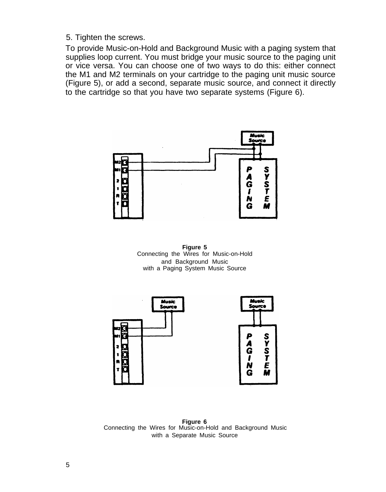5. Tighten the screws.

To provide Music-on-Hold and Background Music with a paging system that supplies loop current. You must bridge your music source to the paging unit or vice versa. You can choose one of two ways to do this: either connect the M1 and M2 terminals on your cartridge to the paging unit music source (Figure 5), or add a second, separate music source, and connect it directly to the cartridge so that you have two separate systems (Figure 6).



**Figure 5** Connecting the Wires for Music-on-Hold and Background Music with a Paging System Music Source



**Figure 6** Connecting the Wires for Music-on-Hold and Background Music with a Separate Music Source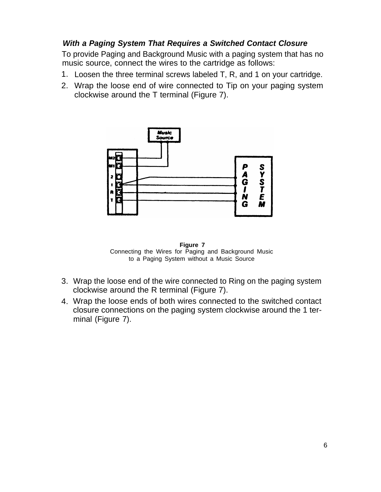#### **With a Paging System That Requires a Switched Contact Closure**

To provide Paging and Background Music with a paging system that has no music source, connect the wires to the cartridge as follows:

- 1. Loosen the three terminal screws labeled T, R, and 1 on your cartridge.
- 2. Wrap the loose end of wire connected to Tip on your paging system clockwise around the T terminal (Figure 7).



**Figure 7** Connecting the Wires for Paging and Background Music to a Paging System without a Music Source

- 3. Wrap the loose end of the wire connected to Ring on the paging system clockwise around the R terminal (Figure 7).
- 4. Wrap the loose ends of both wires connected to the switched contact closure connections on the paging system clockwise around the 1 terminal (Figure 7).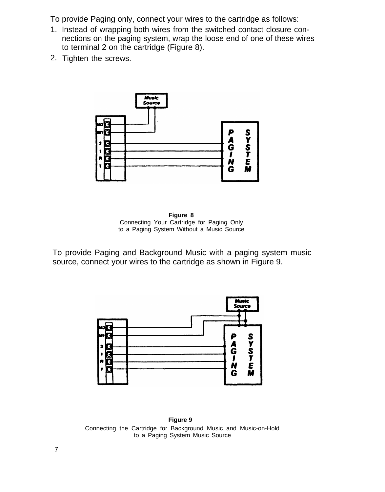To provide Paging only, connect your wires to the cartridge as follows:

- 1. Instead of wrapping both wires from the switched contact closure connections on the paging system, wrap the loose end of one of these wires to terminal 2 on the cartridge (Figure 8).
- 2. Tighten the screws.



**Figure 8** Connecting Your Cartridge for Paging Only to a Paging System Without a Music Source

To provide Paging and Background Music with a paging system music source, connect your wires to the cartridge as shown in Figure 9.



**Figure 9** Connecting the Cartridge for Background Music and Music-on-Hold to a Paging System Music Source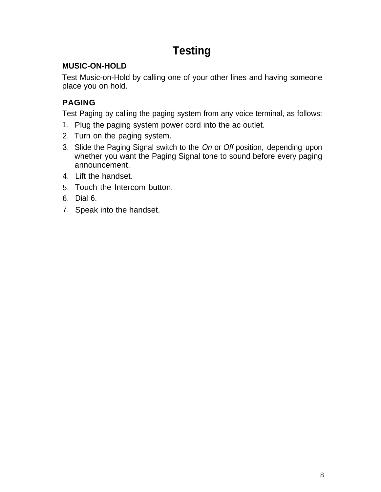# **Testing**

## **MUSIC-ON-HOLD**

Test Music-on-Hold by calling one of your other lines and having someone place you on hold.

## **PAGING**

Test Paging by calling the paging system from any voice terminal, as follows:

- 1. Plug the paging system power cord into the ac outlet.
- 2. Turn on the paging system.
- 3. Slide the Paging Signal switch to the On or Off position, depending upon whether you want the Paging Signal tone to sound before every paging announcement.
- 4. Lift the handset.
- 5. Touch the Intercom button.
- 6. Dial 6.
- 7. Speak into the handset.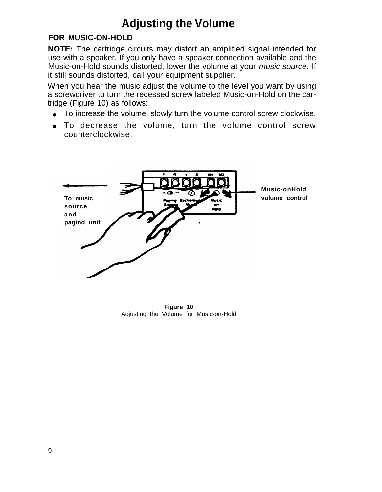# **Adjusting the Volume**

## **FOR MUSIC-ON-HOLD**

**NOTE:** The cartridge circuits may distort an amplified signal intended for use with a speaker. If you only have a speaker connection available and the Music-on-Hold sounds distorted, lower the volume at your music source. If it still sounds distorted, call your equipment supplier.

When you hear the music adjust the volume to the level you want by using a screwdriver to turn the recessed screw labeled Music-on-Hold on the cartridge (Figure 10) as follows:

- To increase the volume, slowly turn the volume control screw clockwise.
- To decrease the volume, turn the volume control screw counterclockwise.



**Figure 10** Adjusting the Volume for Music-on-Hold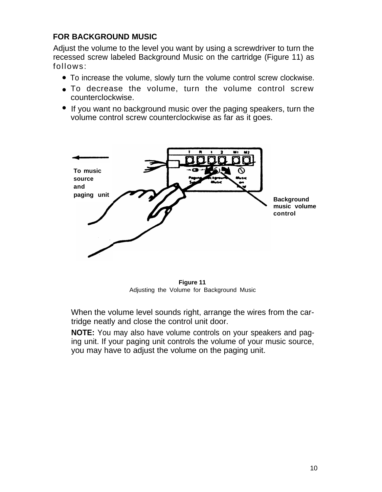## **FOR BACKGROUND MUSIC**

Adjust the volume to the level you want by using a screwdriver to turn the recessed screw labeled Background Music on the cartridge (Figure 11) as follows:

- To increase the volume, slowly turn the volume control screw clockwise.
- To decrease the volume, turn the volume control screw counterclockwise.
- If you want no background music over the paging speakers, turn the volume control screw counterclockwise as far as it goes.



**Figure 11** Adjusting the Volume for Background Music

When the volume level sounds right, arrange the wires from the cartridge neatly and close the control unit door.

**NOTE:** You may also have volume controls on your speakers and paging unit. If your paging unit controls the volume of your music source, you may have to adjust the volume on the paging unit.